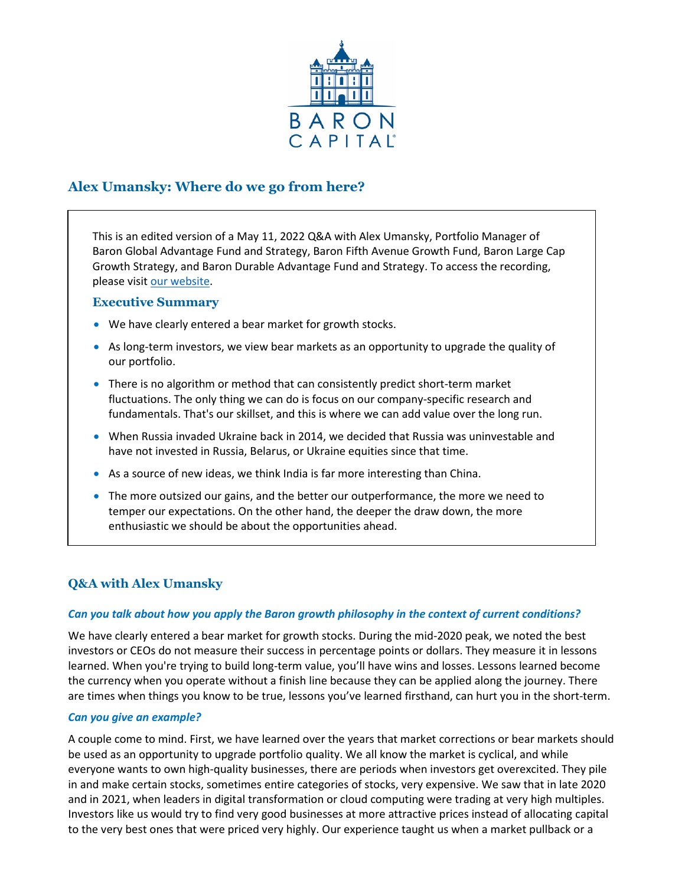

# **Alex Umansky: Where do we go from here?**

This is an edited version of a May 11, 2022 Q&A with Alex Umansky, Portfolio Manager of Baron Global Advantage Fund and Strategy, Baron Fifth Avenue Growth Fund, Baron Large Cap Growth Strategy, and Baron Durable Advantage Fund and Strategy. To access the recording, please visi[t our website.](https://www.baronfunds.com/insights/conference-calls)

# **Executive Summary**

- We have clearly entered a bear market for growth stocks.
- As long-term investors, we view bear markets as an opportunity to upgrade the quality of our portfolio.
- There is no algorithm or method that can consistently predict short-term market fluctuations. The only thing we can do is focus on our company-specific research and fundamentals. That's our skillset, and this is where we can add value over the long run.
- When Russia invaded Ukraine back in 2014, we decided that Russia was uninvestable and have not invested in Russia, Belarus, or Ukraine equities since that time.
- As a source of new ideas, we think India is far more interesting than China.
- The more outsized our gains, and the better our outperformance, the more we need to temper our expectations. On the other hand, the deeper the draw down, the more enthusiastic we should be about the opportunities ahead.

# **Q&A with Alex Umansky**

# *Can you talk about how you apply the Baron growth philosophy in the context of current conditions?*

We have clearly entered a bear market for growth stocks. During the mid-2020 peak, we noted the best investors or CEOs do not measure their success in percentage points or dollars. They measure it in lessons learned. When you're trying to build long-term value, you'll have wins and losses. Lessons learned become the currency when you operate without a finish line because they can be applied along the journey. There are times when things you know to be true, lessons you've learned firsthand, can hurt you in the short-term.

# *Can you give an example?*

A couple come to mind. First, we have learned over the years that market corrections or bear markets should be used as an opportunity to upgrade portfolio quality. We all know the market is cyclical, and while everyone wants to own high-quality businesses, there are periods when investors get overexcited. They pile in and make certain stocks, sometimes entire categories of stocks, very expensive. We saw that in late 2020 and in 2021, when leaders in digital transformation or cloud computing were trading at very high multiples. Investors like us would try to find very good businesses at more attractive prices instead of allocating capital to the very best ones that were priced very highly. Our experience taught us when a market pullback or a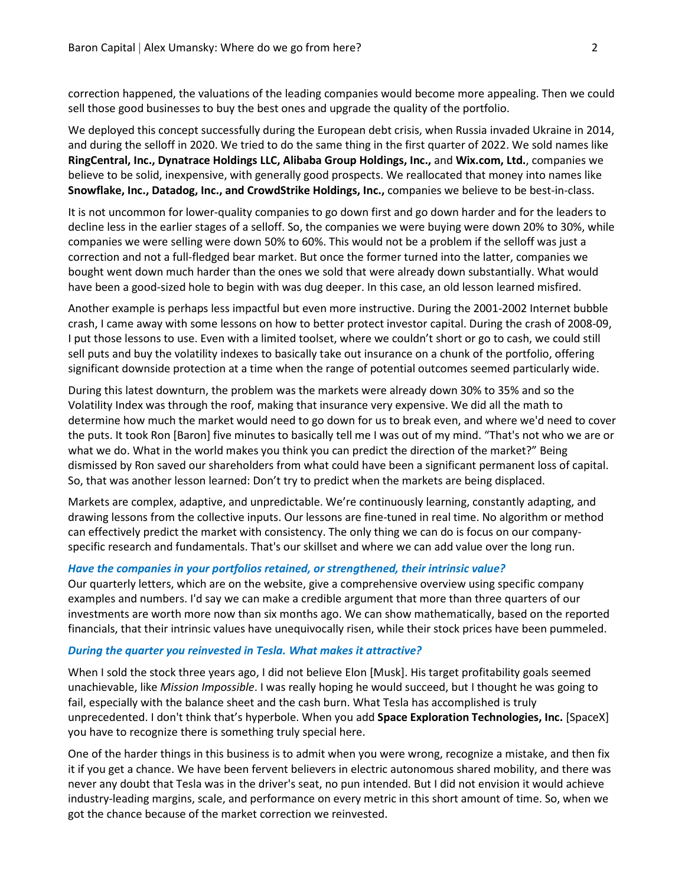correction happened, the valuations of the leading companies would become more appealing. Then we could sell those good businesses to buy the best ones and upgrade the quality of the portfolio.

We deployed this concept successfully during the European debt crisis, when Russia invaded Ukraine in 2014, and during the selloff in 2020. We tried to do the same thing in the first quarter of 2022. We sold names like **RingCentral, Inc., Dynatrace Holdings LLC, Alibaba Group Holdings, Inc.,** and **Wix.com, Ltd.**, companies we believe to be solid, inexpensive, with generally good prospects. We reallocated that money into names like **Snowflake, Inc., Datadog, Inc., and CrowdStrike Holdings, Inc.,** companies we believe to be best-in-class.

It is not uncommon for lower-quality companies to go down first and go down harder and for the leaders to decline less in the earlier stages of a selloff. So, the companies we were buying were down 20% to 30%, while companies we were selling were down 50% to 60%. This would not be a problem if the selloff was just a correction and not a full-fledged bear market. But once the former turned into the latter, companies we bought went down much harder than the ones we sold that were already down substantially. What would have been a good-sized hole to begin with was dug deeper. In this case, an old lesson learned misfired.

Another example is perhaps less impactful but even more instructive. During the 2001-2002 Internet bubble crash, I came away with some lessons on how to better protect investor capital. During the crash of 2008-09, I put those lessons to use. Even with a limited toolset, where we couldn't short or go to cash, we could still sell puts and buy the volatility indexes to basically take out insurance on a chunk of the portfolio, offering significant downside protection at a time when the range of potential outcomes seemed particularly wide.

During this latest downturn, the problem was the markets were already down 30% to 35% and so the Volatility Index was through the roof, making that insurance very expensive. We did all the math to determine how much the market would need to go down for us to break even, and where we'd need to cover the puts. It took Ron [Baron] five minutes to basically tell me I was out of my mind. "That's not who we are or what we do. What in the world makes you think you can predict the direction of the market?" Being dismissed by Ron saved our shareholders from what could have been a significant permanent loss of capital. So, that was another lesson learned: Don't try to predict when the markets are being displaced.

Markets are complex, adaptive, and unpredictable. We're continuously learning, constantly adapting, and drawing lessons from the collective inputs. Our lessons are fine-tuned in real time. No algorithm or method can effectively predict the market with consistency. The only thing we can do is focus on our companyspecific research and fundamentals. That's our skillset and where we can add value over the long run.

## *Have the companies in your portfolios retained, or strengthened, their intrinsic value?*

Our quarterly letters, which are on the website, give a comprehensive overview using specific company examples and numbers. I'd say we can make a credible argument that more than three quarters of our investments are worth more now than six months ago. We can show mathematically, based on the reported financials, that their intrinsic values have unequivocally risen, while their stock prices have been pummeled.

### *During the quarter you reinvested in Tesla. What makes it attractive?*

When I sold the stock three years ago, I did not believe Elon [Musk]. His target profitability goals seemed unachievable, like *Mission Impossible*. I was really hoping he would succeed, but I thought he was going to fail, especially with the balance sheet and the cash burn. What Tesla has accomplished is truly unprecedented. I don't think that's hyperbole. When you add **Space Exploration Technologies, Inc.** [SpaceX] you have to recognize there is something truly special here.

One of the harder things in this business is to admit when you were wrong, recognize a mistake, and then fix it if you get a chance. We have been fervent believers in electric autonomous shared mobility, and there was never any doubt that Tesla was in the driver's seat, no pun intended. But I did not envision it would achieve industry-leading margins, scale, and performance on every metric in this short amount of time. So, when we got the chance because of the market correction we reinvested.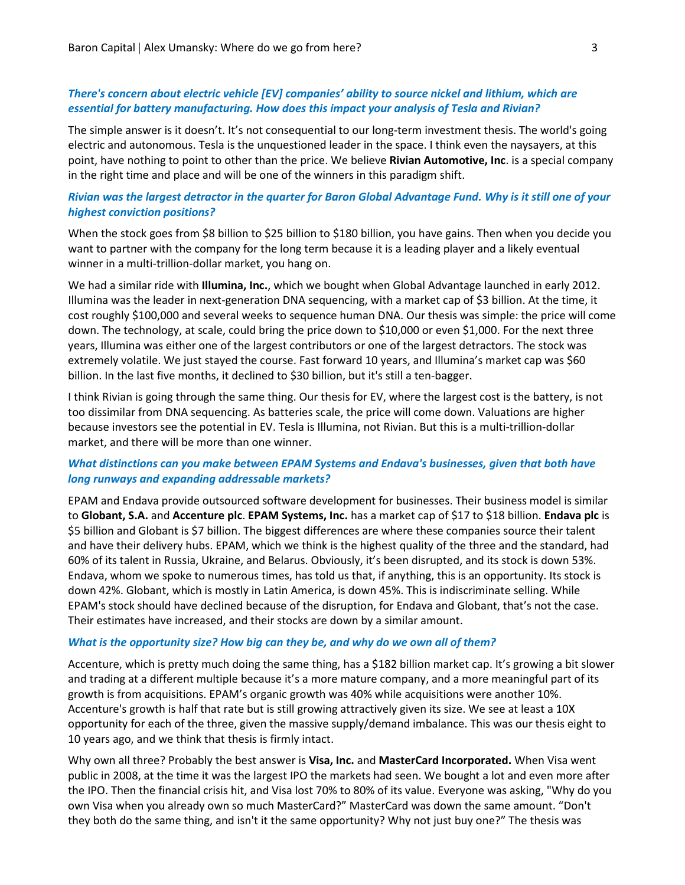# *There's concern about electric vehicle [EV] companies' ability to source nickel and lithium, which are essential for battery manufacturing. How does this impact your analysis of Tesla and Rivian?*

The simple answer is it doesn't. It's not consequential to our long-term investment thesis. The world's going electric and autonomous. Tesla is the unquestioned leader in the space. I think even the naysayers, at this point, have nothing to point to other than the price. We believe **Rivian Automotive, Inc**. is a special company in the right time and place and will be one of the winners in this paradigm shift.

# *Rivian was the largest detractor in the quarter for Baron Global Advantage Fund. Why is it still one of your highest conviction positions?*

When the stock goes from \$8 billion to \$25 billion to \$180 billion, you have gains. Then when you decide you want to partner with the company for the long term because it is a leading player and a likely eventual winner in a multi-trillion-dollar market, you hang on.

We had a similar ride with **Illumina, Inc.**, which we bought when Global Advantage launched in early 2012. Illumina was the leader in next-generation DNA sequencing, with a market cap of \$3 billion. At the time, it cost roughly \$100,000 and several weeks to sequence human DNA. Our thesis was simple: the price will come down. The technology, at scale, could bring the price down to \$10,000 or even \$1,000. For the next three years, Illumina was either one of the largest contributors or one of the largest detractors. The stock was extremely volatile. We just stayed the course. Fast forward 10 years, and Illumina's market cap was \$60 billion. In the last five months, it declined to \$30 billion, but it's still a ten-bagger.

I think Rivian is going through the same thing. Our thesis for EV, where the largest cost is the battery, is not too dissimilar from DNA sequencing. As batteries scale, the price will come down. Valuations are higher because investors see the potential in EV. Tesla is Illumina, not Rivian. But this is a multi-trillion-dollar market, and there will be more than one winner.

# *What distinctions can you make between EPAM Systems and Endava's businesses, given that both have long runways and expanding addressable markets?*

EPAM and Endava provide outsourced software development for businesses. Their business model is similar to **Globant, S.A.** and **Accenture plc**. **EPAM Systems, Inc.** has a market cap of \$17 to \$18 billion. **Endava plc** is \$5 billion and Globant is \$7 billion. The biggest differences are where these companies source their talent and have their delivery hubs. EPAM, which we think is the highest quality of the three and the standard, had 60% of its talent in Russia, Ukraine, and Belarus. Obviously, it's been disrupted, and its stock is down 53%. Endava, whom we spoke to numerous times, has told us that, if anything, this is an opportunity. Its stock is down 42%. Globant, which is mostly in Latin America, is down 45%. This is indiscriminate selling. While EPAM's stock should have declined because of the disruption, for Endava and Globant, that's not the case. Their estimates have increased, and their stocks are down by a similar amount.

#### *What is the opportunity size? How big can they be, and why do we own all of them?*

Accenture, which is pretty much doing the same thing, has a \$182 billion market cap. It's growing a bit slower and trading at a different multiple because it's a more mature company, and a more meaningful part of its growth is from acquisitions. EPAM's organic growth was 40% while acquisitions were another 10%. Accenture's growth is half that rate but is still growing attractively given its size. We see at least a 10X opportunity for each of the three, given the massive supply/demand imbalance. This was our thesis eight to 10 years ago, and we think that thesis is firmly intact.

Why own all three? Probably the best answer is **Visa, Inc.** and **MasterCard Incorporated.** When Visa went public in 2008, at the time it was the largest IPO the markets had seen. We bought a lot and even more after the IPO. Then the financial crisis hit, and Visa lost 70% to 80% of its value. Everyone was asking, "Why do you own Visa when you already own so much MasterCard?" MasterCard was down the same amount. "Don't they both do the same thing, and isn't it the same opportunity? Why not just buy one?" The thesis was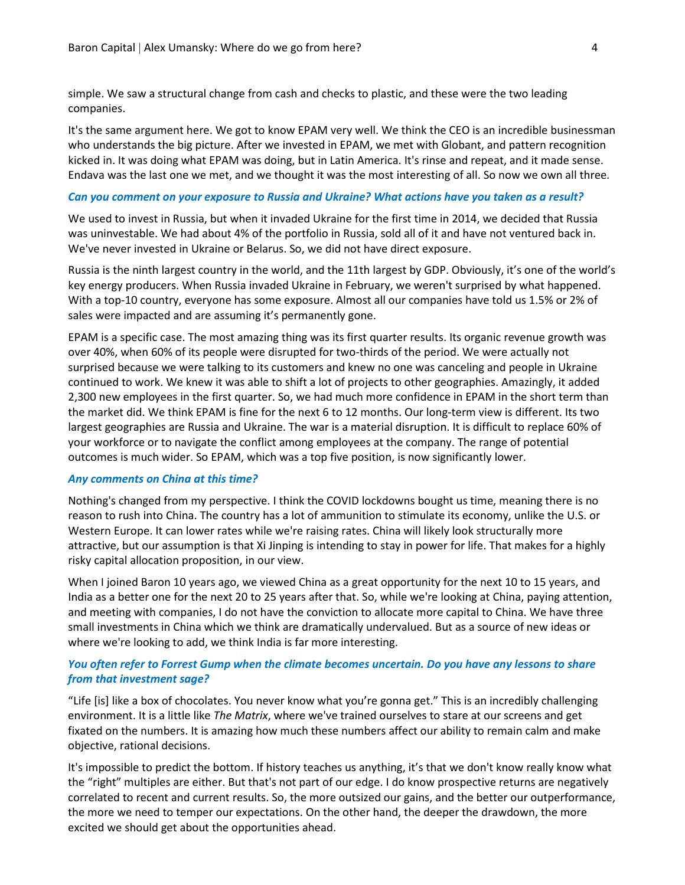simple. We saw a structural change from cash and checks to plastic, and these were the two leading companies.

It's the same argument here. We got to know EPAM very well. We think the CEO is an incredible businessman who understands the big picture. After we invested in EPAM, we met with Globant, and pattern recognition kicked in. It was doing what EPAM was doing, but in Latin America. It's rinse and repeat, and it made sense. Endava was the last one we met, and we thought it was the most interesting of all. So now we own all three.

### *Can you comment on your exposure to Russia and Ukraine? What actions have you taken as a result?*

We used to invest in Russia, but when it invaded Ukraine for the first time in 2014, we decided that Russia was uninvestable. We had about 4% of the portfolio in Russia, sold all of it and have not ventured back in. We've never invested in Ukraine or Belarus. So, we did not have direct exposure.

Russia is the ninth largest country in the world, and the 11th largest by GDP. Obviously, it's one of the world's key energy producers. When Russia invaded Ukraine in February, we weren't surprised by what happened. With a top-10 country, everyone has some exposure. Almost all our companies have told us 1.5% or 2% of sales were impacted and are assuming it's permanently gone.

EPAM is a specific case. The most amazing thing was its first quarter results. Its organic revenue growth was over 40%, when 60% of its people were disrupted for two-thirds of the period. We were actually not surprised because we were talking to its customers and knew no one was canceling and people in Ukraine continued to work. We knew it was able to shift a lot of projects to other geographies. Amazingly, it added 2,300 new employees in the first quarter. So, we had much more confidence in EPAM in the short term than the market did. We think EPAM is fine for the next 6 to 12 months. Our long-term view is different. Its two largest geographies are Russia and Ukraine. The war is a material disruption. It is difficult to replace 60% of your workforce or to navigate the conflict among employees at the company. The range of potential outcomes is much wider. So EPAM, which was a top five position, is now significantly lower.

### *Any comments on China at this time?*

Nothing's changed from my perspective. I think the COVID lockdowns bought us time, meaning there is no reason to rush into China. The country has a lot of ammunition to stimulate its economy, unlike the U.S. or Western Europe. It can lower rates while we're raising rates. China will likely look structurally more attractive, but our assumption is that Xi Jinping is intending to stay in power for life. That makes for a highly risky capital allocation proposition, in our view.

When I joined Baron 10 years ago, we viewed China as a great opportunity for the next 10 to 15 years, and India as a better one for the next 20 to 25 years after that. So, while we're looking at China, paying attention, and meeting with companies, I do not have the conviction to allocate more capital to China. We have three small investments in China which we think are dramatically undervalued. But as a source of new ideas or where we're looking to add, we think India is far more interesting.

# *You often refer to Forrest Gump when the climate becomes uncertain. Do you have any lessons to share from that investment sage?*

"Life [is] like a box of chocolates. You never know what you're gonna get." This is an incredibly challenging environment. It is a little like *The Matrix*, where we've trained ourselves to stare at our screens and get fixated on the numbers. It is amazing how much these numbers affect our ability to remain calm and make objective, rational decisions.

It's impossible to predict the bottom. If history teaches us anything, it's that we don't know really know what the "right" multiples are either. But that's not part of our edge. I do know prospective returns are negatively correlated to recent and current results. So, the more outsized our gains, and the better our outperformance, the more we need to temper our expectations. On the other hand, the deeper the drawdown, the more excited we should get about the opportunities ahead.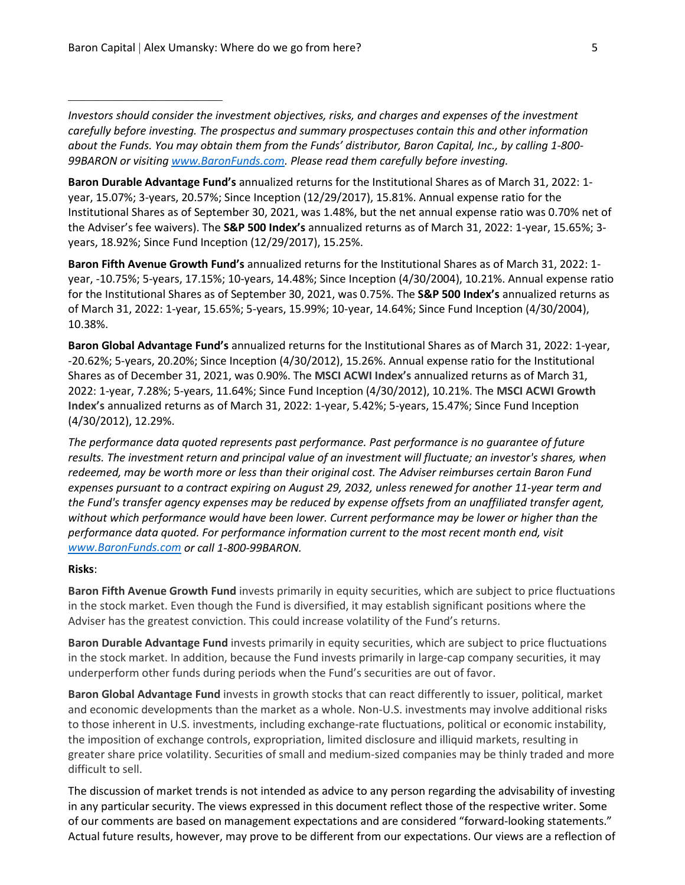\_\_\_\_\_\_\_\_\_\_\_\_\_\_\_\_\_\_\_\_\_\_\_

*Investors should consider the investment objectives, risks, and charges and expenses of the investment carefully before investing. The prospectus and summary prospectuses contain this and other information about the Funds. You may obtain them from the Funds' distributor, Baron Capital, Inc., by calling 1-800- 99BARON or visiting [www.BaronFunds.com.](http://www.baronfunds.com/) Please read them carefully before investing.*

**Baron Durable Advantage Fund's** annualized returns for the Institutional Shares as of March 31, 2022: 1 year, 15.07%; 3-years, 20.57%; Since Inception (12/29/2017), 15.81%. Annual expense ratio for the Institutional Shares as of September 30, 2021, was 1.48%, but the net annual expense ratio was 0.70% net of the Adviser's fee waivers). The **S&P 500 Index's** annualized returns as of March 31, 2022: 1-year, 15.65%; 3 years, 18.92%; Since Fund Inception (12/29/2017), 15.25%.

**Baron Fifth Avenue Growth Fund's** annualized returns for the Institutional Shares as of March 31, 2022: 1 year, -10.75%; 5-years, 17.15%; 10-years, 14.48%; Since Inception (4/30/2004), 10.21%. Annual expense ratio for the Institutional Shares as of September 30, 2021, was 0.75%. The **S&P 500 Index's** annualized returns as of March 31, 2022: 1-year, 15.65%; 5-years, 15.99%; 10-year, 14.64%; Since Fund Inception (4/30/2004), 10.38%.

**Baron Global Advantage Fund's** annualized returns for the Institutional Shares as of March 31, 2022: 1-year, -20.62%; 5-years, 20.20%; Since Inception (4/30/2012), 15.26%. Annual expense ratio for the Institutional Shares as of December 31, 2021, was 0.90%. The **MSCI ACWI Index's** annualized returns as of March 31, 2022: 1-year, 7.28%; 5-years, 11.64%; Since Fund Inception (4/30/2012), 10.21%. The **MSCI ACWI Growth Index's** annualized returns as of March 31, 2022: 1-year, 5.42%; 5-years, 15.47%; Since Fund Inception (4/30/2012), 12.29%.

*The performance data quoted represents past performance. Past performance is no guarantee of future results. The investment return and principal value of an investment will fluctuate; an investor's shares, when redeemed, may be worth more or less than their original cost. The Adviser reimburses certain Baron Fund expenses pursuant to a contract expiring on August 29, 2032, unless renewed for another 11-year term and the Fund's transfer agency expenses may be reduced by expense offsets from an unaffiliated transfer agent, without which performance would have been lower. Current performance may be lower or higher than the performance data quoted. For performance information current to the most recent month end, visit [www.BaronFunds.com](http://www.baronfunds.com/) or call 1-800-99BARON.*

### **Risks**:

**Baron Fifth Avenue Growth Fund** invests primarily in equity securities, which are subject to price fluctuations in the stock market. Even though the Fund is diversified, it may establish significant positions where the Adviser has the greatest conviction. This could increase volatility of the Fund's returns.

**Baron Durable Advantage Fund** invests primarily in equity securities, which are subject to price fluctuations in the stock market. In addition, because the Fund invests primarily in large-cap company securities, it may underperform other funds during periods when the Fund's securities are out of favor.

**Baron Global Advantage Fund** invests in growth stocks that can react differently to issuer, political, market and economic developments than the market as a whole. Non-U.S. investments may involve additional risks to those inherent in U.S. investments, including exchange-rate fluctuations, political or economic instability, the imposition of exchange controls, expropriation, limited disclosure and illiquid markets, resulting in greater share price volatility. Securities of small and medium-sized companies may be thinly traded and more difficult to sell.

The discussion of market trends is not intended as advice to any person regarding the advisability of investing in any particular security. The views expressed in this document reflect those of the respective writer. Some of our comments are based on management expectations and are considered "forward-looking statements." Actual future results, however, may prove to be different from our expectations. Our views are a reflection of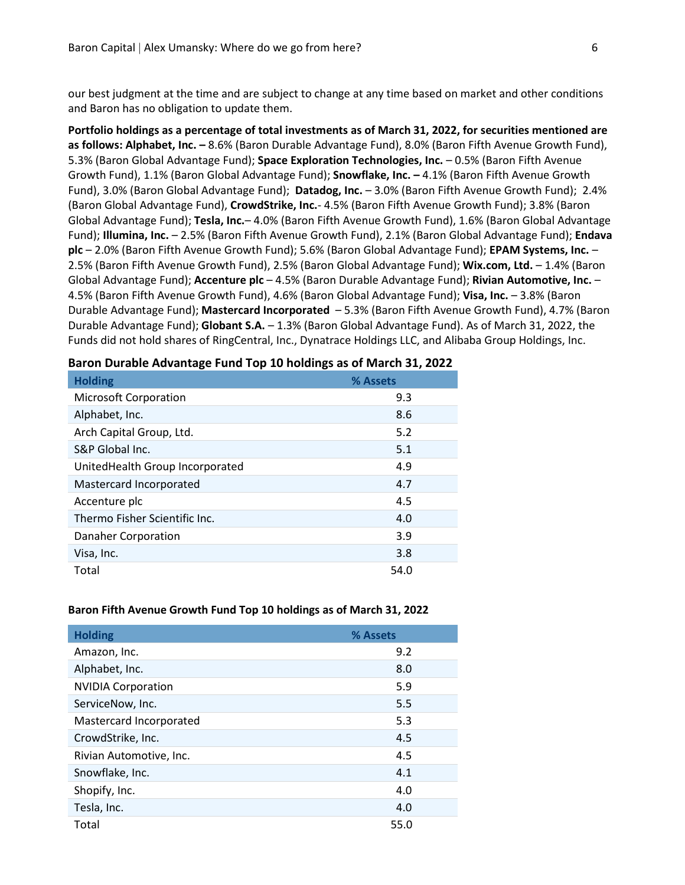our best judgment at the time and are subject to change at any time based on market and other conditions and Baron has no obligation to update them.

**Portfolio holdings as a percentage of total investments as of March 31, 2022, for securities mentioned are as follows: Alphabet, Inc. –** 8.6% (Baron Durable Advantage Fund), 8.0% (Baron Fifth Avenue Growth Fund), 5.3% (Baron Global Advantage Fund); **Space Exploration Technologies, Inc.** – 0.5% (Baron Fifth Avenue Growth Fund), 1.1% (Baron Global Advantage Fund); **Snowflake, Inc. –** 4.1% (Baron Fifth Avenue Growth Fund), 3.0% (Baron Global Advantage Fund); **Datadog, Inc.** – 3.0% (Baron Fifth Avenue Growth Fund); 2.4% (Baron Global Advantage Fund), **CrowdStrike, Inc.**- 4.5% (Baron Fifth Avenue Growth Fund); 3.8% (Baron Global Advantage Fund); **Tesla, Inc.**– 4.0% (Baron Fifth Avenue Growth Fund), 1.6% (Baron Global Advantage Fund); **Illumina, Inc.** – 2.5% (Baron Fifth Avenue Growth Fund), 2.1% (Baron Global Advantage Fund); **Endava plc** – 2.0% (Baron Fifth Avenue Growth Fund); 5.6% (Baron Global Advantage Fund); **EPAM Systems, Inc.** – 2.5% (Baron Fifth Avenue Growth Fund), 2.5% (Baron Global Advantage Fund); **Wix.com, Ltd.** – 1.4% (Baron Global Advantage Fund); **Accenture plc** – 4.5% (Baron Durable Advantage Fund); **Rivian Automotive, Inc.** – 4.5% (Baron Fifth Avenue Growth Fund), 4.6% (Baron Global Advantage Fund); **Visa, Inc.** – 3.8% (Baron Durable Advantage Fund); **Mastercard Incorporated** – 5.3% (Baron Fifth Avenue Growth Fund), 4.7% (Baron Durable Advantage Fund); **Globant S.A.** – 1.3% (Baron Global Advantage Fund). As of March 31, 2022, the Funds did not hold shares of RingCentral, Inc., Dynatrace Holdings LLC, and Alibaba Group Holdings, Inc.

| <b>Holding</b>                  | % Assets |
|---------------------------------|----------|
| <b>Microsoft Corporation</b>    | 9.3      |
| Alphabet, Inc.                  | 8.6      |
| Arch Capital Group, Ltd.        | 5.2      |
| S&P Global Inc.                 | 5.1      |
| UnitedHealth Group Incorporated | 4.9      |
| Mastercard Incorporated         | 4.7      |
| Accenture plc                   | 4.5      |
| Thermo Fisher Scientific Inc.   | 4.0      |
| <b>Danaher Corporation</b>      | 3.9      |
| Visa, Inc.                      | 3.8      |
| Total                           | 54.0     |

### **Baron Durable Advantage Fund Top 10 holdings as of March 31, 2022**

| <b>Holding</b>            | % Assets |
|---------------------------|----------|
| Amazon, Inc.              | 9.2      |
| Alphabet, Inc.            | 8.0      |
| <b>NVIDIA Corporation</b> | 5.9      |
| ServiceNow, Inc.          | 5.5      |
| Mastercard Incorporated   | 5.3      |
| CrowdStrike, Inc.         | 4.5      |
| Rivian Automotive, Inc.   | 4.5      |
| Snowflake, Inc.           | 4.1      |
| Shopify, Inc.             | 4.0      |
| Tesla, Inc.               | 4.0      |
| Total                     | 55.0     |

### **Baron Fifth Avenue Growth Fund Top 10 holdings as of March 31, 2022**